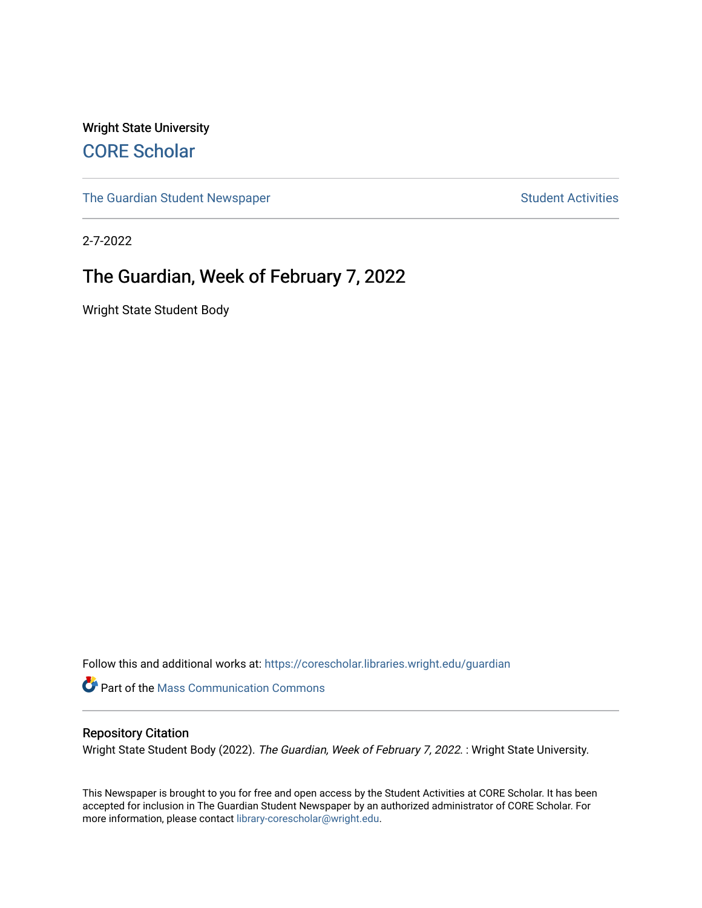Wright State University [CORE Scholar](https://corescholar.libraries.wright.edu/)

[The Guardian Student Newspaper](https://corescholar.libraries.wright.edu/guardian) Student Activities

2-7-2022

#### The Guardian, Week of February 7, 2022

Wright State Student Body

Follow this and additional works at: [https://corescholar.libraries.wright.edu/guardian](https://corescholar.libraries.wright.edu/guardian?utm_source=corescholar.libraries.wright.edu%2Fguardian%2F2519&utm_medium=PDF&utm_campaign=PDFCoverPages)

Part of the [Mass Communication Commons](http://network.bepress.com/hgg/discipline/334?utm_source=corescholar.libraries.wright.edu%2Fguardian%2F2519&utm_medium=PDF&utm_campaign=PDFCoverPages) 

#### Repository Citation

Wright State Student Body (2022). The Guardian, Week of February 7, 2022. : Wright State University.

This Newspaper is brought to you for free and open access by the Student Activities at CORE Scholar. It has been accepted for inclusion in The Guardian Student Newspaper by an authorized administrator of CORE Scholar. For more information, please contact [library-corescholar@wright.edu.](mailto:library-corescholar@wright.edu)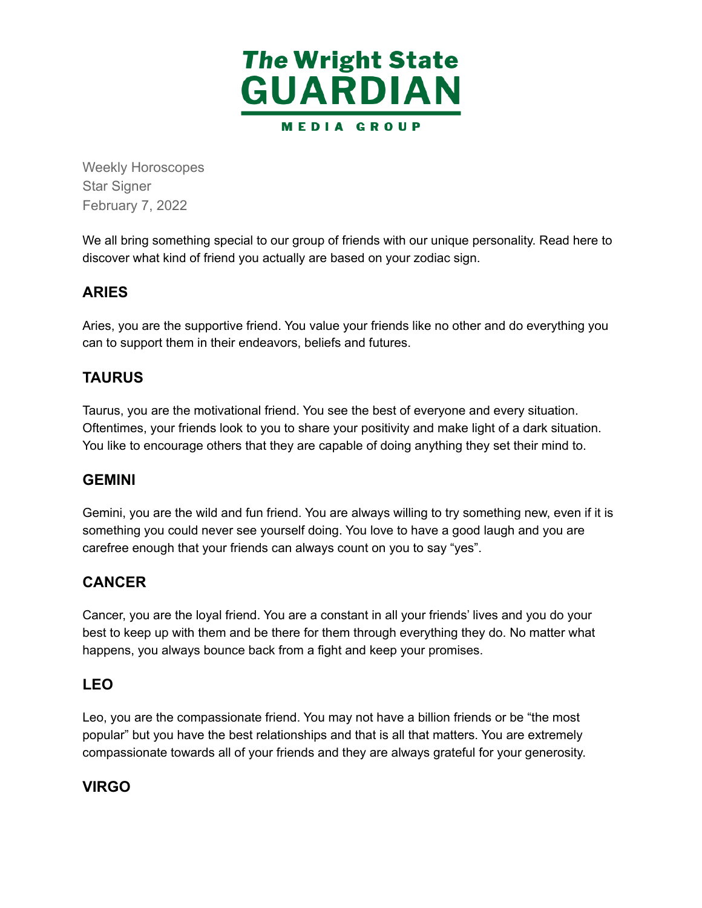

Weekly Horoscopes Star Signer February 7, 2022

 We all bring something special to our group of friends with our unique personality. Read here to discover what kind of friend you actually are based on your zodiac sign.

#### **ARIES**

 Aries, you are the supportive friend. You value your friends like no other and do everything you can to support them in their endeavors, beliefs and futures.

#### **TAURUS**

 Taurus, you are the motivational friend. You see the best of everyone and every situation. Oftentimes, your friends look to you to share your positivity and make light of a dark situation. You like to encourage others that they are capable of doing anything they set their mind to.

#### **GEMINI**

 Gemini, you are the wild and fun friend. You are always willing to try something new, even if it is something you could never see yourself doing. You love to have a good laugh and you are carefree enough that your friends can always count on you to say "yes".

#### **CANCER**

 Cancer, you are the loyal friend. You are a constant in all your friends' lives and you do your best to keep up with them and be there for them through everything they do. No matter what happens, you always bounce back from a fight and keep your promises.

#### **LEO**

 Leo, you are the compassionate friend. You may not have a billion friends or be "the most popular" but you have the best relationships and that is all that matters. You are extremely compassionate towards all of your friends and they are always grateful for your generosity.

#### **VIRGO**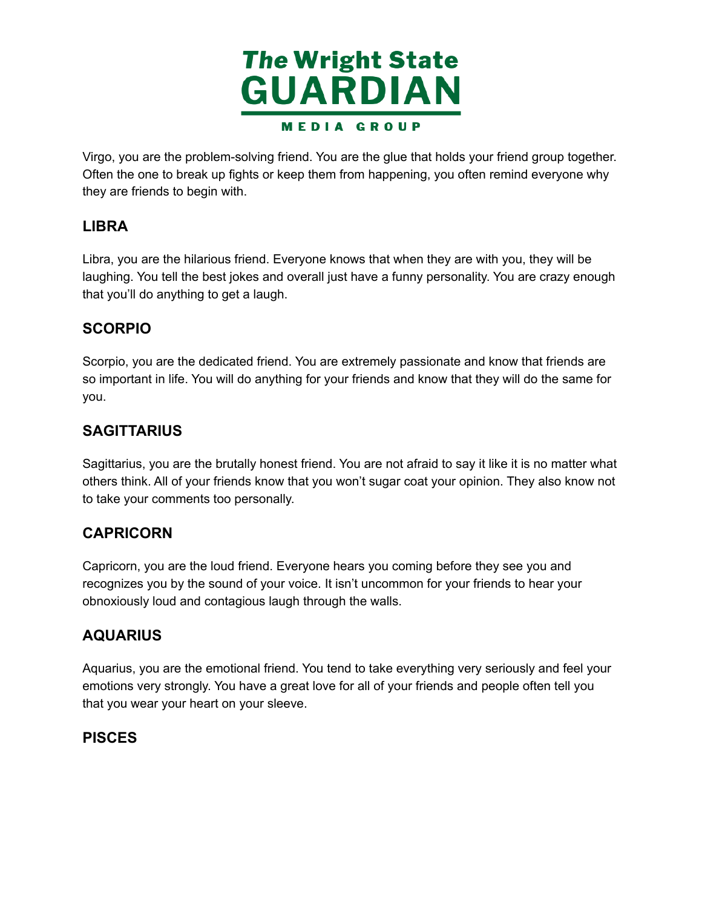

 Virgo, you are the problem-solving friend. You are the glue that holds your friend group together. Often the one to break up fights or keep them from happening, you often remind everyone why they are friends to begin with.

#### **LIBRA**

 Libra, you are the hilarious friend. Everyone knows that when they are with you, they will be laughing. You tell the best jokes and overall just have a funny personality. You are crazy enough that you'll do anything to get a laugh.

#### **SCORPIO**

 Scorpio, you are the dedicated friend. You are extremely passionate and know that friends are so important in life. You will do anything for your friends and know that they will do the same for you.

#### **SAGITTARIUS**

 Sagittarius, you are the brutally honest friend. You are not afraid to say it like it is no matter what others think. All of your friends know that you won't sugar coat your opinion. They also know not to take your comments too personally.

#### **CAPRICORN**

 Capricorn, you are the loud friend. Everyone hears you coming before they see you and recognizes you by the sound of your voice. It isn't uncommon for your friends to hear your obnoxiously loud and contagious laugh through the walls.

#### **AQUARIUS**

 Aquarius, you are the emotional friend. You tend to take everything very seriously and feel your emotions very strongly. You have a great love for all of your friends and people often tell you that you wear your heart on your sleeve.

#### **PISCES**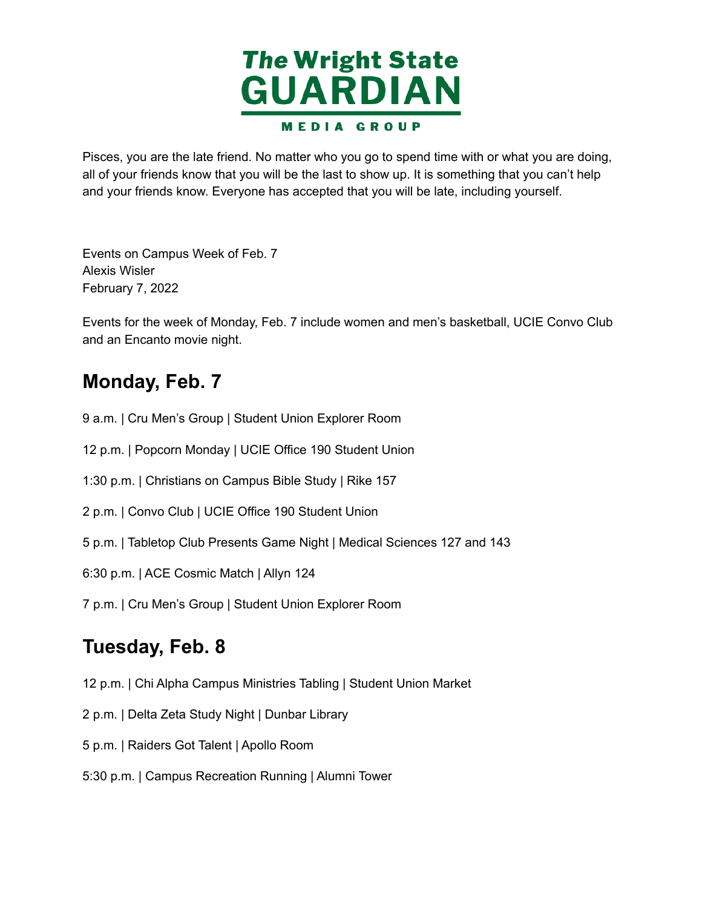

 Pisces, you are the late friend. No matter who you go to spend time with or what you are doing, all of your friends know that you will be the last to show up. It is something that you can't help and your friends know. Everyone has accepted that you will be late, including yourself.

 Events on Campus Week of Feb. 7 February 7, 2022 Alexis Wisler

 Events for the week of Monday, Feb. 7 include women and men's basketball, UCIE Convo Club and an Encanto movie night.

## **Monday, Feb. 7**

- 9 a.m. | Cru Men's Group | Student Union Explorer Room
- 12 p.m. | Popcorn Monday | UCIE Office 190 Student Union
- 1:30 p.m. | Christians on Campus Bible Study | Rike 157
- 2 p.m. | Convo Club | UCIE Office 190 Student Union
- 5 p.m. | Tabletop Club Presents Game Night | Medical Sciences 127 and 143
- 6:30 p.m. | ACE Cosmic Match | Allyn 124

7 p.m. | Cru Men's Group | Student Union Explorer Room

### **Tuesday, Feb. 8**

- 12 p.m. | Chi Alpha Campus Ministries Tabling | Student Union Market
- 2 p.m. | Delta Zeta Study Night | Dunbar Library
- 5 p.m. | Raiders Got Talent | Apollo Room
- 5:30 p.m. | Campus Recreation Running | Alumni Tower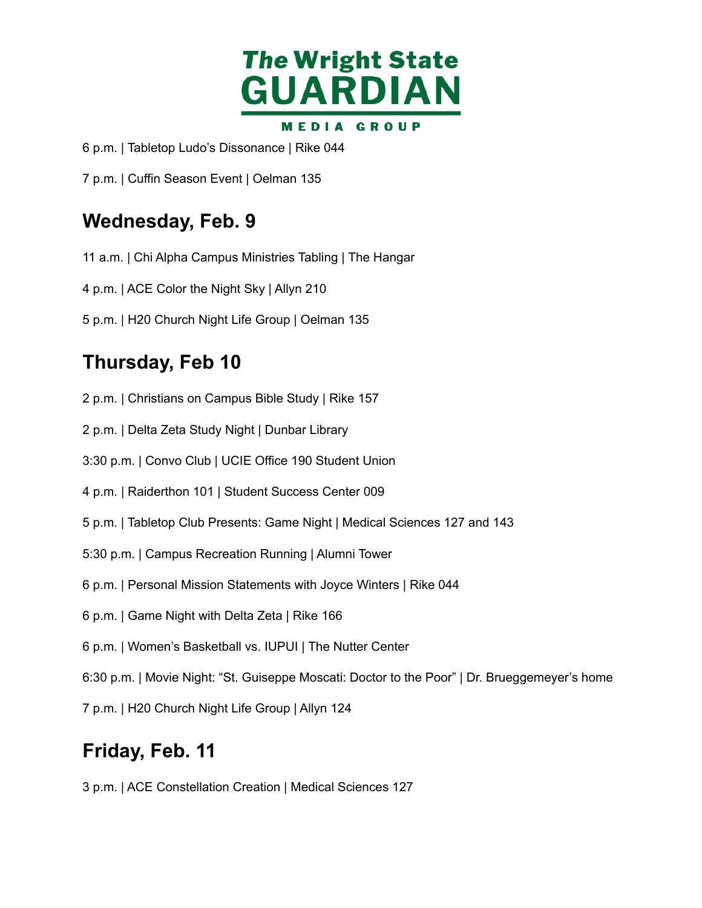

p.m. | Tabletop Ludo's Dissonance | Rike 044

p.m. | Cuffin Season Event | Oelman 135

### **Wednesday, Feb. 9**

- a.m. | Chi Alpha Campus Ministries Tabling | The Hangar
- p.m. | ACE Color the Night Sky | Allyn 210
- p.m. | H20 Church Night Life Group | Oelman 135

## **Thursday, Feb 10**

- p.m. | Christians on Campus Bible Study | Rike 157
- p.m. | Delta Zeta Study Night | Dunbar Library
- 3:30 p.m. | Convo Club | UCIE Office 190 Student Union
- p.m. | Raiderthon 101 | Student Success Center 009
- p.m. | Tabletop Club Presents: Game Night | Medical Sciences 127 and 143
- 5:30 p.m. | Campus Recreation Running | Alumni Tower
- p.m. | Personal Mission Statements with Joyce Winters | Rike 044
- p.m. | Game Night with Delta Zeta | Rike 166
- p.m. | Women's Basketball vs. IUPUI | The Nutter Center
- 6:30 p.m. | Movie Night: "St. Guiseppe Moscati: Doctor to the Poor" | Dr. Brueggemeyer's home
- p.m. | H20 Church Night Life Group | Allyn 124

### **Friday, Feb. 11**

p.m. | ACE Constellation Creation | Medical Sciences 127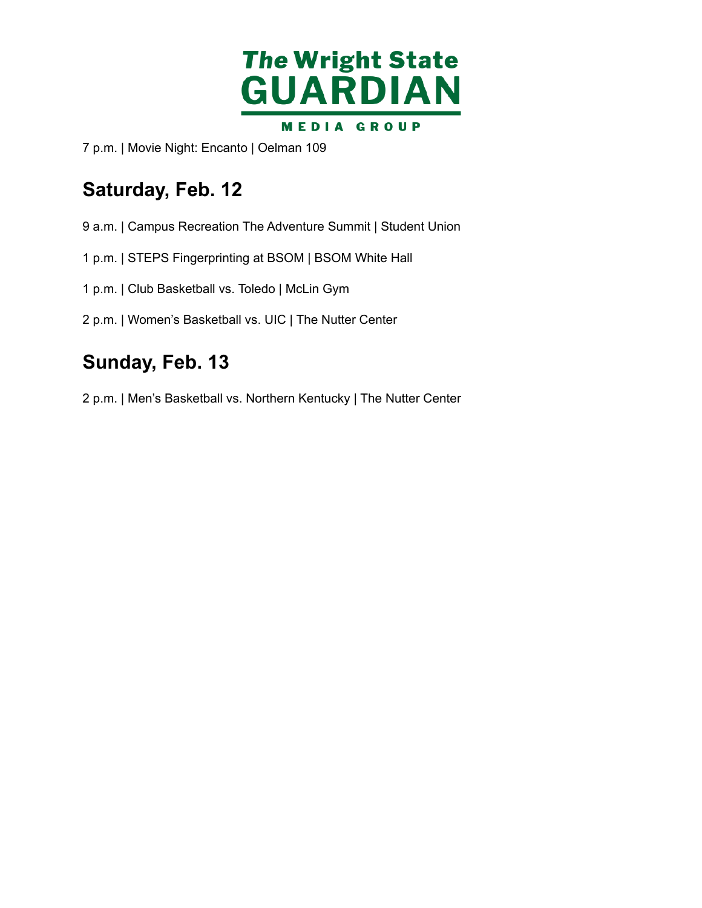

p.m. | Movie Night: Encanto | Oelman 109

# **Saturday, Feb. 12**

- a.m. | Campus Recreation The Adventure Summit | Student Union
- p.m. | STEPS Fingerprinting at BSOM | BSOM White Hall
- p.m. | Club Basketball vs. Toledo | McLin Gym
- p.m. | Women's Basketball vs. UIC | The Nutter Center

## **Sunday, Feb. 13**

p.m. | Men's Basketball vs. Northern Kentucky | The Nutter Center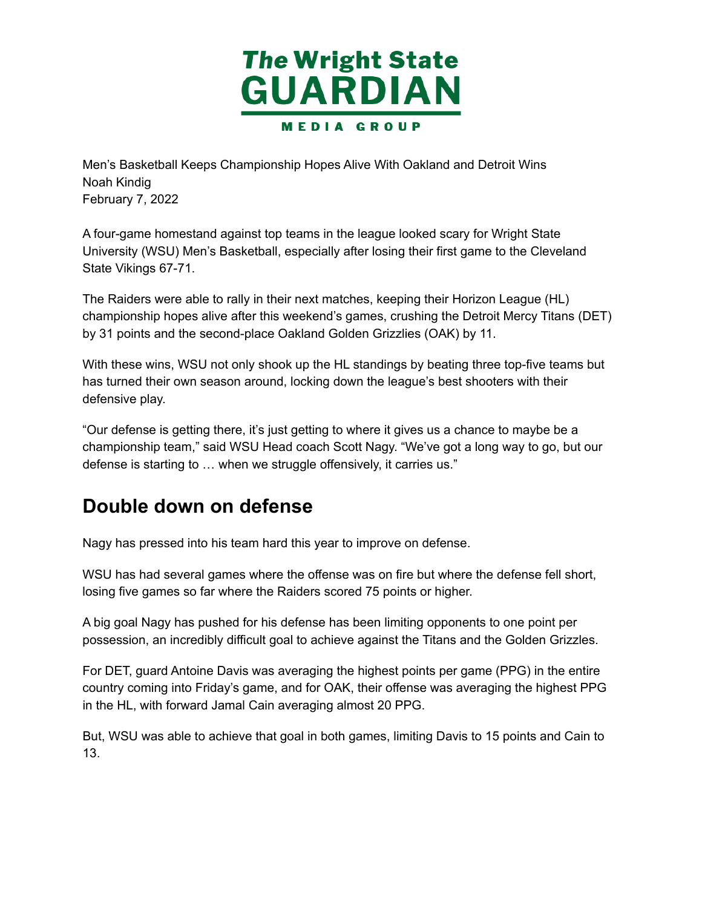

 Men's Basketball Keeps Championship Hopes Alive With Oakland and Detroit Wins February 7, 2022 Noah Kindig

 A four-game homestand against top teams in the league looked scary for Wright State University (WSU) Men's Basketball, especially after losing their first game to the Cleveland State Vikings 67-71.

 The Raiders were able to rally in their next matches, keeping their Horizon League (HL) championship hopes alive after this weekend's games, crushing the Detroit Mercy Titans (DET) by 31 points and the second-place Oakland Golden Grizzlies (OAK) by 11.

 With these wins, WSU not only shook up the HL standings by beating three top-five teams but has turned their own season around, locking down the league's best shooters with their defensive play.

 "Our defense is getting there, it's just getting to where it gives us a chance to maybe be a championship team," said WSU Head coach Scott Nagy. "We've got a long way to go, but our defense is starting to … when we struggle offensively, it carries us."

### **Double down on defense**

Nagy has pressed into his team hard this year to improve on defense.

 WSU has had several games where the offense was on fire but where the defense fell short, losing five games so far where the Raiders scored 75 points or higher.

 A big goal Nagy has pushed for his defense has been limiting opponents to one point per possession, an incredibly difficult goal to achieve against the Titans and the Golden Grizzles.

 For DET, guard Antoine Davis was averaging the highest points per game (PPG) in the entire country coming into Friday's game, and for OAK, their offense was averaging the highest PPG in the HL, with forward Jamal Cain averaging almost 20 PPG.

 But, WSU was able to achieve that goal in both games, limiting Davis to 15 points and Cain to 13.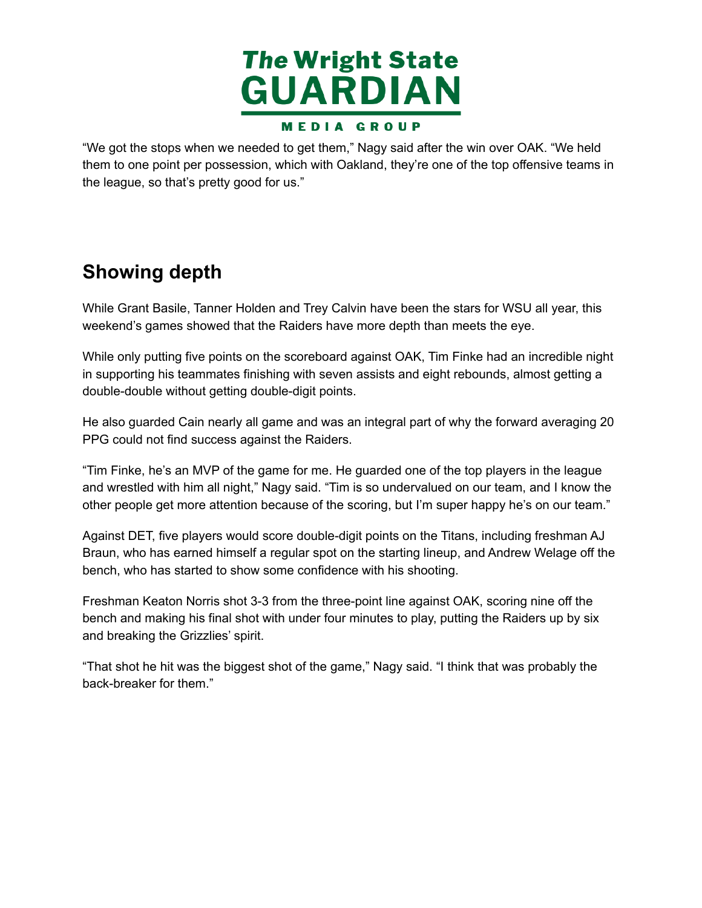

 "We got the stops when we needed to get them," Nagy said after the win over OAK. "We held them to one point per possession, which with Oakland, they're one of the top offensive teams in the league, so that's pretty good for us."

## **Showing depth**

 While Grant Basile, Tanner Holden and Trey Calvin have been the stars for WSU all year, this weekend's games showed that the Raiders have more depth than meets the eye.

 While only putting five points on the scoreboard against OAK, Tim Finke had an incredible night in supporting his teammates finishing with seven assists and eight rebounds, almost getting a double-double without getting double-digit points.

 He also guarded Cain nearly all game and was an integral part of why the forward averaging 20 PPG could not find success against the Raiders.

 "Tim Finke, he's an MVP of the game for me. He guarded one of the top players in the league and wrestled with him all night," Nagy said. "Tim is so undervalued on our team, and I know the other people get more attention because of the scoring, but I'm super happy he's on our team."

 Against DET, five players would score double-digit points on the Titans, including freshman AJ Braun, who has earned himself a regular spot on the starting lineup, and Andrew Welage off the bench, who has started to show some confidence with his shooting.

 Freshman Keaton Norris shot 3-3 from the three-point line against OAK, scoring nine off the bench and making his final shot with under four minutes to play, putting the Raiders up by six and breaking the Grizzlies' spirit.

 "That shot he hit was the biggest shot of the game," Nagy said. "I think that was probably the back-breaker for them."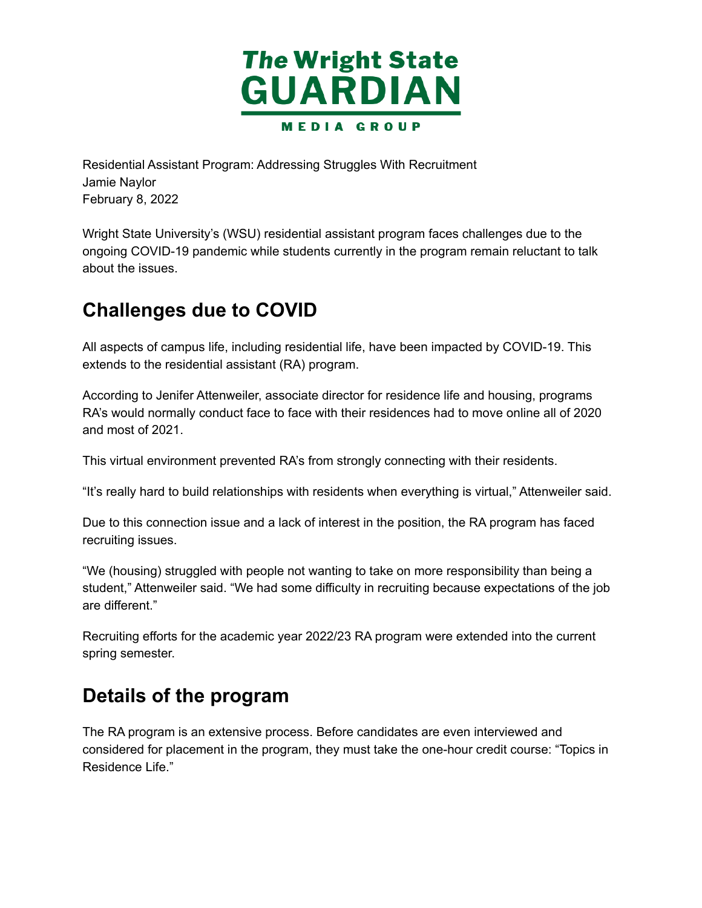

 Residential Assistant Program: Addressing Struggles With Recruitment February 8, 2022 Jamie Naylor

 Wright State University's (WSU) residential assistant program faces challenges due to the ongoing COVID-19 pandemic while students currently in the program remain reluctant to talk about the issues.

#### **Challenges due to COVID**

 All aspects of campus life, including residential life, have been impacted by COVID-19. This extends to the residential assistant (RA) program.

 According to Jenifer Attenweiler, associate director for residence life and housing, programs RA's would normally conduct face to face with their residences had to move online all of 2020 and most of 2021.

This virtual environment prevented RA's from strongly connecting with their residents.

"It's really hard to build relationships with residents when everything is virtual," Attenweiler said.

 Due to this connection issue and a lack of interest in the position, the RA program has faced recruiting issues.

 "We (housing) struggled with people not wanting to take on more responsibility than being a student," Attenweiler said. "We had some difficulty in recruiting because expectations of the job are different."

 Recruiting efforts for the academic year 2022/23 RA program were extended into the current spring semester.

### **Details of the program**

 The RA program is an extensive process. Before candidates are even interviewed and considered for placement in the program, they must take the one-hour credit course: "Topics in Residence Life."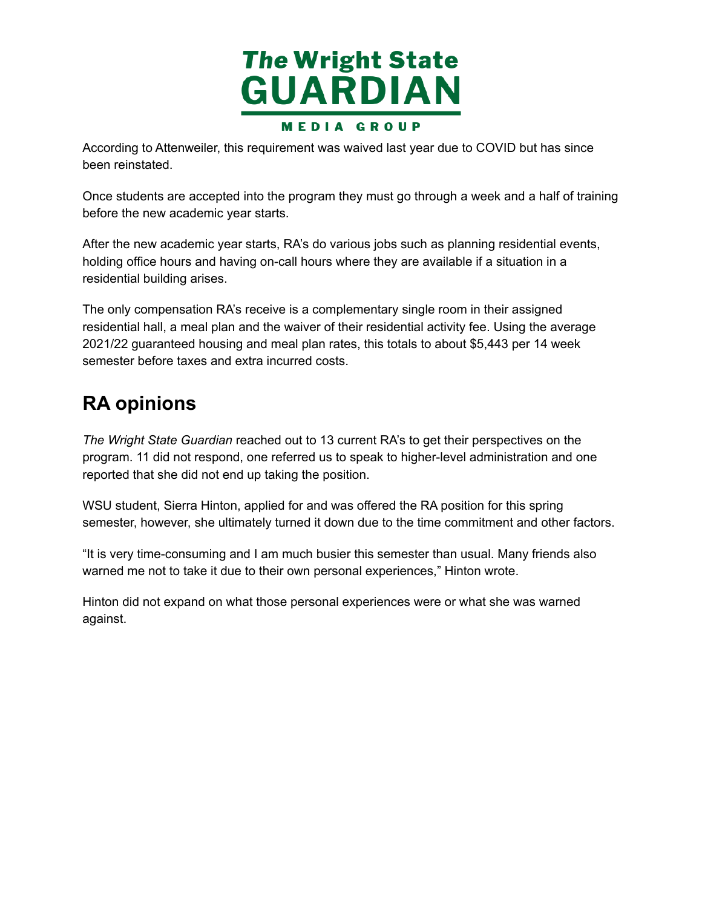

 According to Attenweiler, this requirement was waived last year due to COVID but has since been reinstated.

 Once students are accepted into the program they must go through a week and a half of training before the new academic year starts.

 After the new academic year starts, RA's do various jobs such as planning residential events, holding office hours and having on-call hours where they are available if a situation in a residential building arises.

 The only compensation RA's receive is a complementary single room in their assigned residential hall, a meal plan and the waiver of their residential activity fee. Using the average 2021/22 guaranteed housing and meal plan rates, this totals to about \$5,443 per 14 week semester before taxes and extra incurred costs.

### **RA opinions**

 *The Wright State Guardian* reached out to 13 current RA's to get their perspectives on the program. 11 did not respond, one referred us to speak to higher-level administration and one reported that she did not end up taking the position.

 WSU student, Sierra Hinton, applied for and was offered the RA position for this spring semester, however, she ultimately turned it down due to the time commitment and other factors.

 "It is very time-consuming and I am much busier this semester than usual. Many friends also warned me not to take it due to their own personal experiences," Hinton wrote.

 Hinton did not expand on what those personal experiences were or what she was warned against.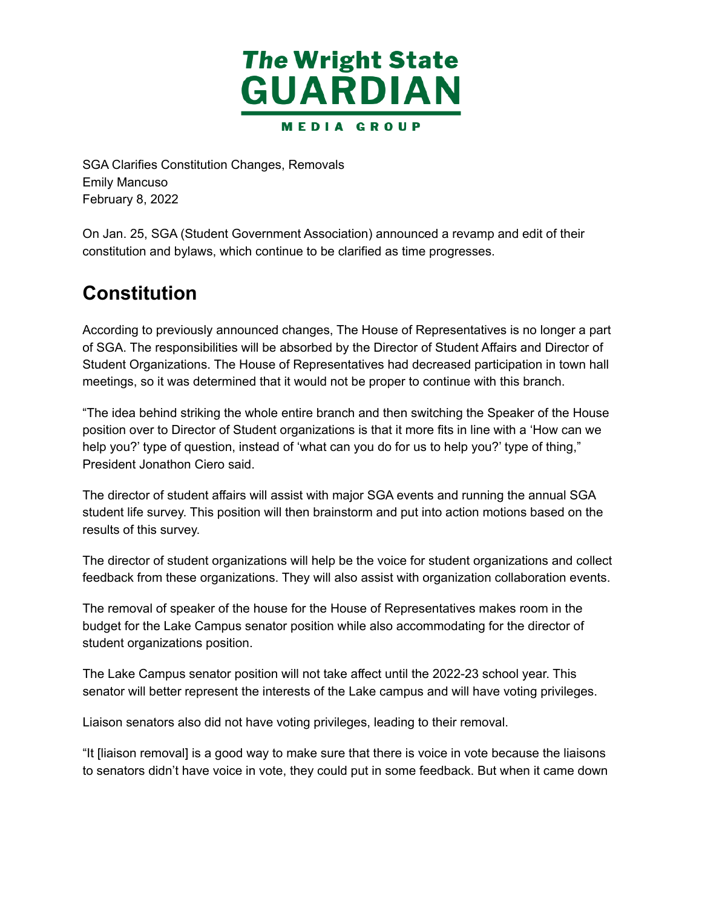

 SGA Clarifies Constitution Changes, Removals February 8, 2022 Emily Mancuso

 On Jan. 25, SGA (Student Government Association) announced a revamp and edit of their constitution and bylaws, which continue to be clarified as time progresses.

### **Constitution**

 According to previously announced changes, The House of Representatives is no longer a part of SGA. The responsibilities will be absorbed by the Director of Student Affairs and Director of Student Organizations. The House of Representatives had decreased participation in town hall meetings, so it was determined that it would not be proper to continue with this branch.

 "The idea behind striking the whole entire branch and then switching the Speaker of the House position over to Director of Student organizations is that it more fits in line with a 'How can we help you?' type of question, instead of 'what can you do for us to help you?' type of thing," President Jonathon Ciero said.

 The director of student affairs will assist with major SGA events and running the annual SGA student life survey. This position will then brainstorm and put into action motions based on the results of this survey.

 The director of student organizations will help be the voice for student organizations and collect feedback from these organizations. They will also assist with organization collaboration events.

 The removal of speaker of the house for the House of Representatives makes room in the budget for the Lake Campus senator position while also accommodating for the director of student organizations position.

 The Lake Campus senator position will not take affect until the 2022-23 school year. This senator will better represent the interests of the Lake campus and will have voting privileges.

Liaison senators also did not have voting privileges, leading to their removal.

 "It [liaison removal] is a good way to make sure that there is voice in vote because the liaisons to senators didn't have voice in vote, they could put in some feedback. But when it came down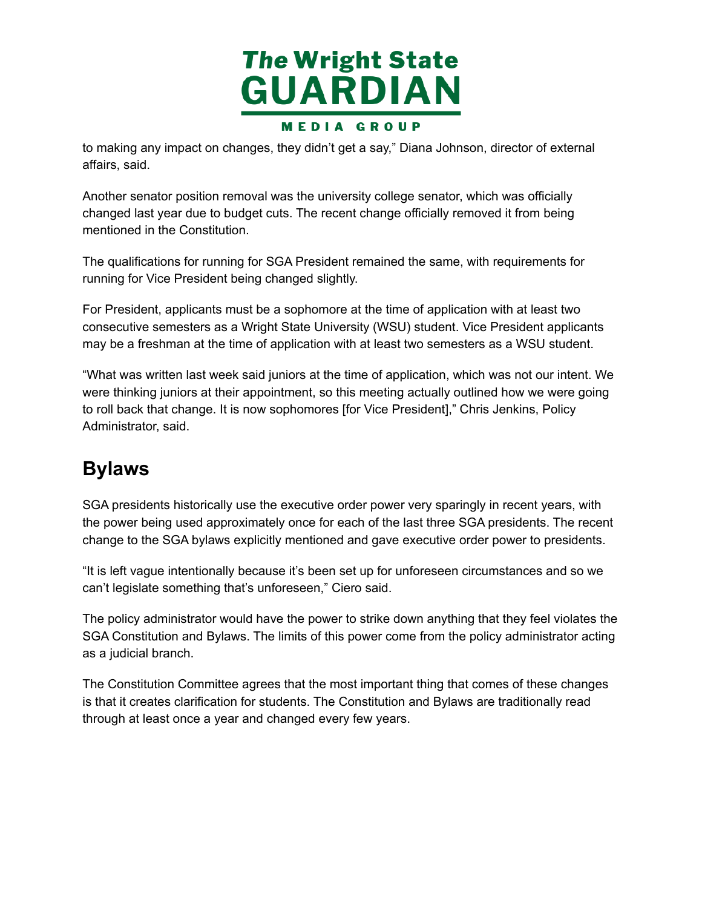

 to making any impact on changes, they didn't get a say," Diana Johnson, director of external affairs, said.

 Another senator position removal was the university college senator, which was officially changed last year due to budget cuts. The recent change officially removed it from being mentioned in the Constitution.

 The qualifications for running for SGA President remained the same, with requirements for running for Vice President being changed slightly.

 For President, applicants must be a sophomore at the time of application with at least two consecutive semesters as a Wright State University (WSU) student. Vice President applicants may be a freshman at the time of application with at least two semesters as a WSU student.

 "What was written last week said juniors at the time of application, which was not our intent. We were thinking juniors at their appointment, so this meeting actually outlined how we were going to roll back that change. It is now sophomores [for Vice President]," Chris Jenkins, Policy Administrator, said.

## **Bylaws**

 SGA presidents historically use the executive order power very sparingly in recent years, with the power being used approximately once for each of the last three SGA presidents. The recent change to the SGA bylaws explicitly mentioned and gave executive order power to presidents.

 "It is left vague intentionally because it's been set up for unforeseen circumstances and so we can't legislate something that's unforeseen," Ciero said.

 The policy administrator would have the power to strike down anything that they feel violates the SGA Constitution and Bylaws. The limits of this power come from the policy administrator acting as a judicial branch.

 The Constitution Committee agrees that the most important thing that comes of these changes is that it creates clarification for students. The Constitution and Bylaws are traditionally read through at least once a year and changed every few years.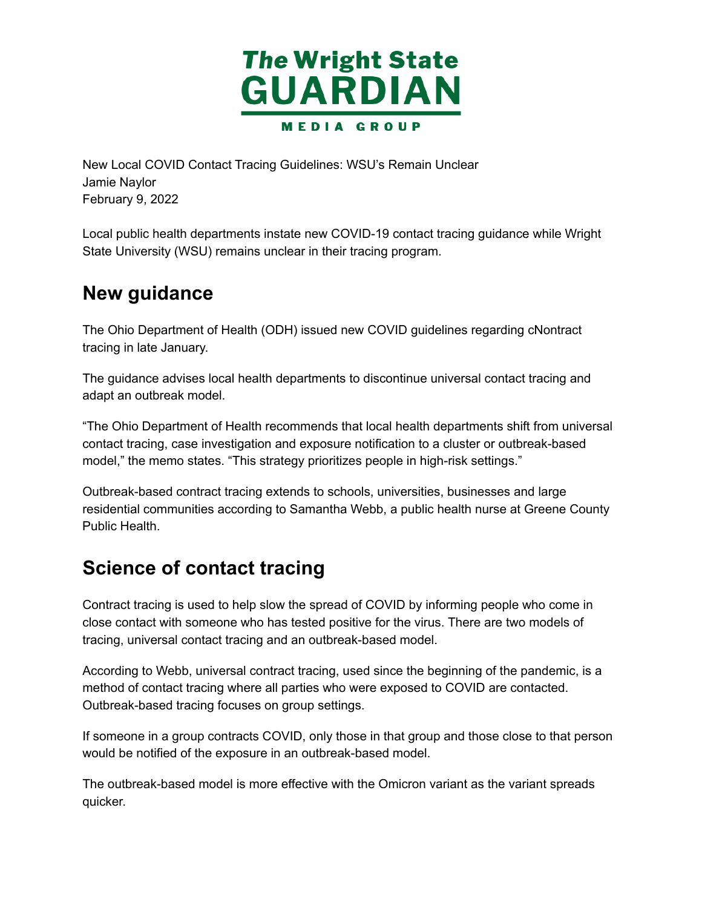

 New Local COVID Contact Tracing Guidelines: WSU's Remain Unclear February 9, 2022 Jamie Naylor

 Local public health departments instate new COVID-19 contact tracing guidance while Wright State University (WSU) remains unclear in their tracing program.

#### **New guidance**

 The Ohio Department of Health (ODH) issued new COVID guidelines regarding cNontract tracing in late January.

 The guidance advises local health departments to discontinue universal contact tracing and adapt an outbreak model.

 "The Ohio Department of Health recommends that local health departments shift from universal contact tracing, case investigation and exposure notification to a cluster or outbreak-based model," the memo states. "This strategy prioritizes people in high-risk settings."

 Outbreak-based contract tracing extends to schools, universities, businesses and large residential communities according to Samantha Webb, a public health nurse at Greene County Public Health.

## **Science of contact tracing**

 Contract tracing is used to help slow the spread of COVID by informing people who come in close contact with someone who has tested positive for the virus. There are two models of tracing, universal contact tracing and an outbreak-based model.

 According to Webb, universal contract tracing, used since the beginning of the pandemic, is a method of contact tracing where all parties who were exposed to COVID are contacted. Outbreak-based tracing focuses on group settings.

 If someone in a group contracts COVID, only those in that group and those close to that person would be notified of the exposure in an outbreak-based model.

 The outbreak-based model is more effective with the Omicron variant as the variant spreads quicker.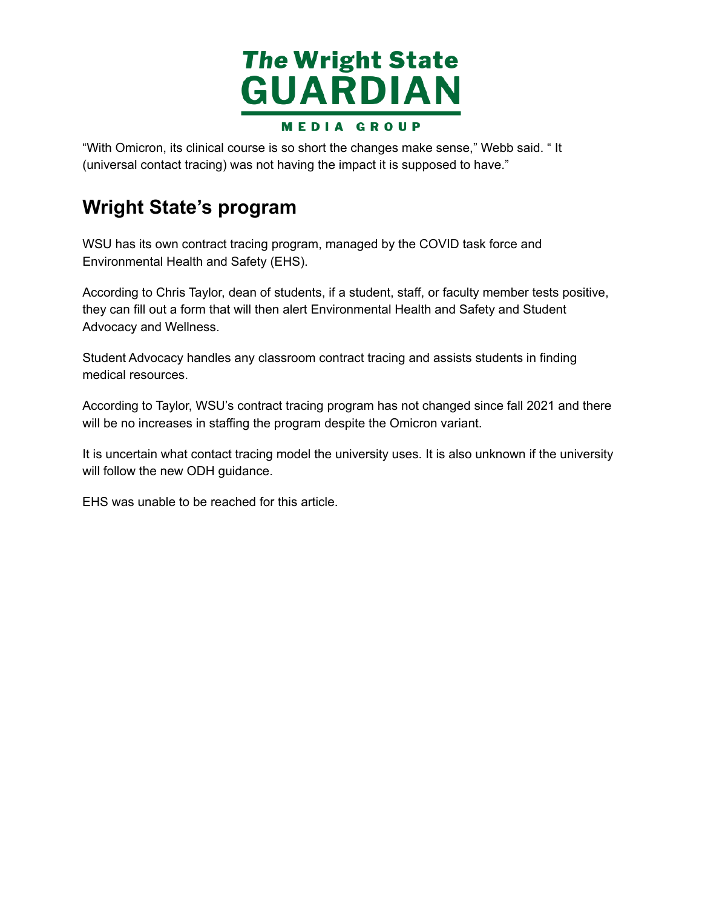

 "With Omicron, its clinical course is so short the changes make sense," Webb said. " It (universal contact tracing) was not having the impact it is supposed to have."

## **Wright State's program**

 WSU has its own contract tracing program, managed by the COVID task force and Environmental Health and Safety (EHS).

 According to Chris Taylor, dean of students, if a student, staff, or faculty member tests positive, they can fill out a form that will then alert Environmental Health and Safety and Student Advocacy and Wellness.

 Student Advocacy handles any classroom contract tracing and assists students in finding medical resources.

 According to Taylor, WSU's contract tracing program has not changed since fall 2021 and there will be no increases in staffing the program despite the Omicron variant.

 It is uncertain what contact tracing model the university uses. It is also unknown if the university will follow the new ODH guidance.

EHS was unable to be reached for this article.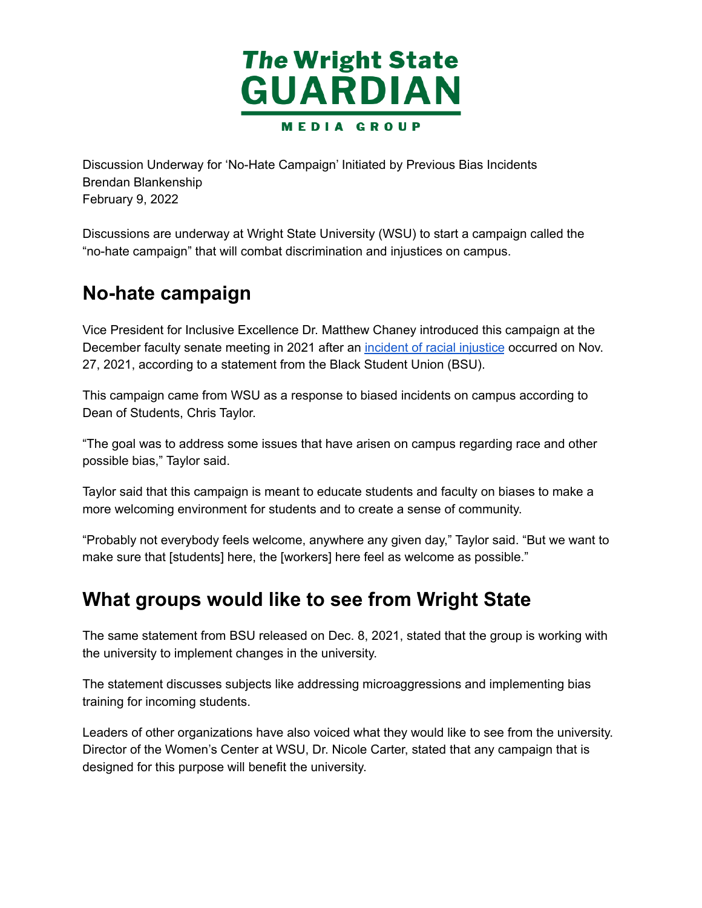

 Discussion Underway for 'No-Hate Campaign' Initiated by Previous Bias Incidents February 9, 2022 Brendan Blankenship

 Discussions are underway at Wright State University (WSU) to start a campaign called the "no-hate campaign" that will combat discrimination and injustices on campus.

### **No-hate campaign**

Vice President for Inclusive Excellence Dr. Matthew Chaney introduced this campaign at the December faculty senate meeting in 2021 after an incident of racial [injustice](https://wsuguardian.com/student-org-responds-to-bias-hate-crime-in-wsu-dorms/) occurred on Nov. 27, 2021, according to a statement from the Black Student Union (BSU).

 This campaign came from WSU as a response to biased incidents on campus according to Dean of Students, Chris Taylor.

 "The goal was to address some issues that have arisen on campus regarding race and other possible bias," Taylor said.

 Taylor said that this campaign is meant to educate students and faculty on biases to make a more welcoming environment for students and to create a sense of community.

 "Probably not everybody feels welcome, anywhere any given day," Taylor said. "But we want to make sure that [students] here, the [workers] here feel as welcome as possible."

#### **What groups would like to see from Wright State**

 The same statement from BSU released on Dec. 8, 2021, stated that the group is working with the university to implement changes in the university.

 The statement discusses subjects like addressing microaggressions and implementing bias training for incoming students.

 Leaders of other organizations have also voiced what they would like to see from the university. Director of the Women's Center at WSU, Dr. Nicole Carter, stated that any campaign that is designed for this purpose will benefit the university.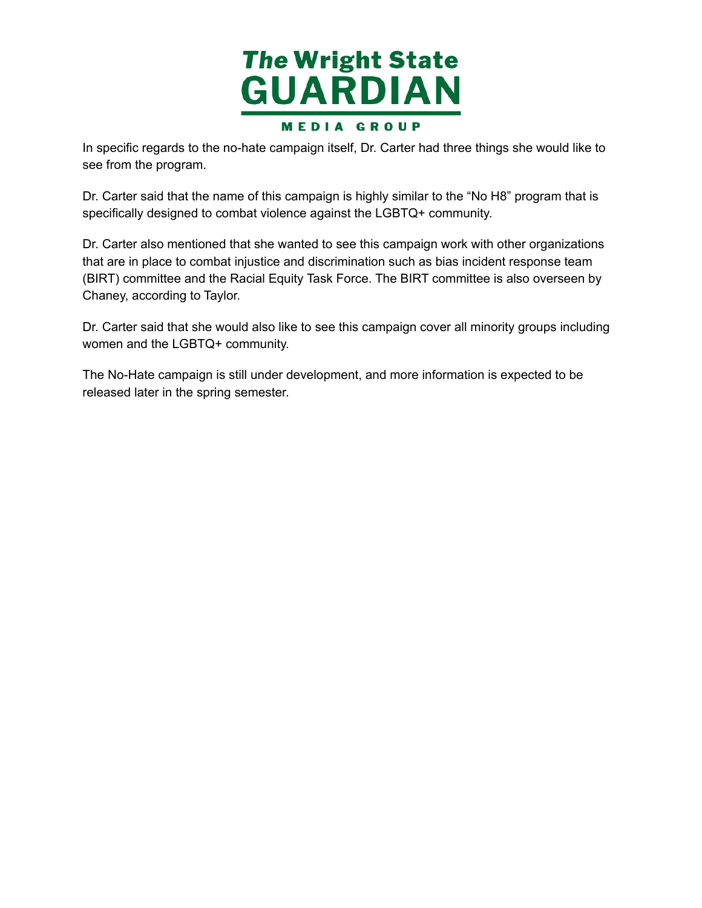

 In specific regards to the no-hate campaign itself, Dr. Carter had three things she would like to see from the program.

 Dr. Carter said that the name of this campaign is highly similar to the "No H8" program that is specifically designed to combat violence against the LGBTQ+ community.

 Dr. Carter also mentioned that she wanted to see this campaign work with other organizations that are in place to combat injustice and discrimination such as bias incident response team (BIRT) committee and the Racial Equity Task Force. The BIRT committee is also overseen by Chaney, according to Taylor.

 Dr. Carter said that she would also like to see this campaign cover all minority groups including women and the LGBTQ+ community.

 The No-Hate campaign is still under development, and more information is expected to be released later in the spring semester.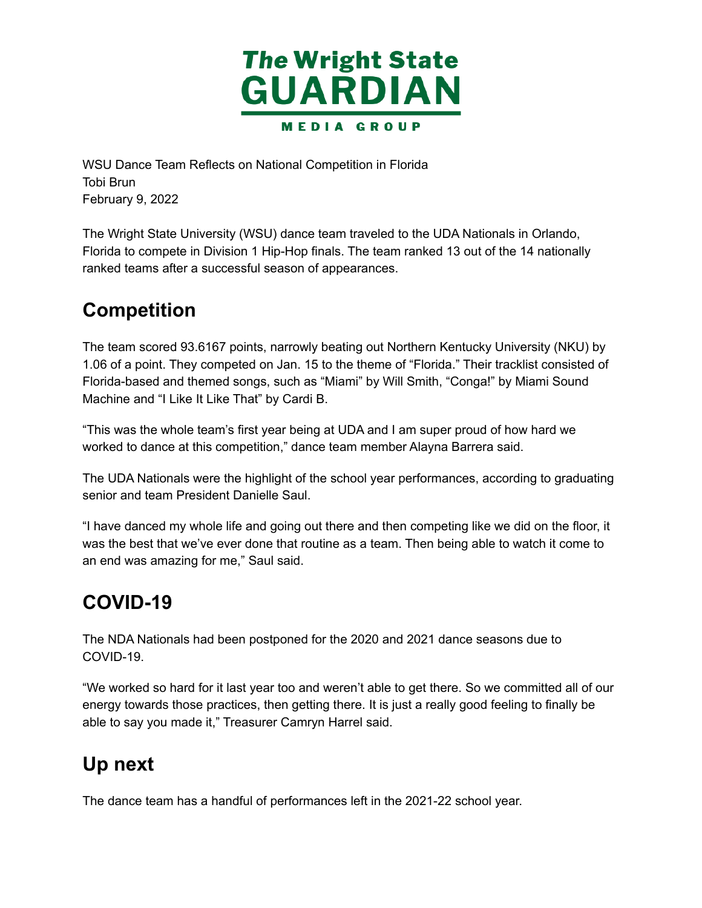

 WSU Dance Team Reflects on National Competition in Florida February 9, 2022 Tobi Brun

 The Wright State University (WSU) dance team traveled to the UDA Nationals in Orlando, Florida to compete in Division 1 Hip-Hop finals. The team ranked 13 out of the 14 nationally ranked teams after a successful season of appearances.

# **Competition**

The team scored 93.6167 points, narrowly beating out Northern Kentucky University (NKU) by 1.06 of a point. They competed on Jan. 15 to the theme of "Florida." Their tracklist consisted of Florida-based and themed songs, such as "Miami" by Will Smith, "Conga!" by Miami Sound Machine and "I Like It Like That" by Cardi B.

 "This was the whole team's first year being at UDA and I am super proud of how hard we worked to dance at this competition," dance team member Alayna Barrera said.

 The UDA Nationals were the highlight of the school year performances, according to graduating senior and team President Danielle Saul.

 "I have danced my whole life and going out there and then competing like we did on the floor, it was the best that we've ever done that routine as a team. Then being able to watch it come to an end was amazing for me," Saul said.

## **COVID-19**

 The NDA Nationals had been postponed for the 2020 and 2021 dance seasons due to COVID-19.

 "We worked so hard for it last year too and weren't able to get there. So we committed all of our energy towards those practices, then getting there. It is just a really good feeling to finally be able to say you made it," Treasurer Camryn Harrel said.

## **Up next**

The dance team has a handful of performances left in the 2021-22 school year.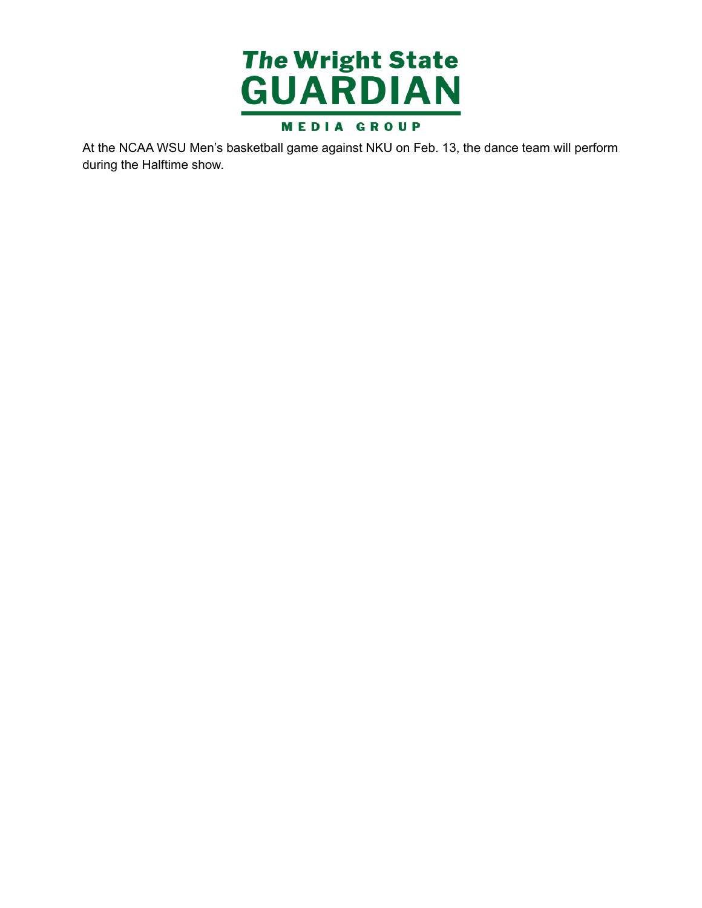

 At the NCAA WSU Men's basketball game against NKU on Feb. 13, the dance team will perform during the Halftime show.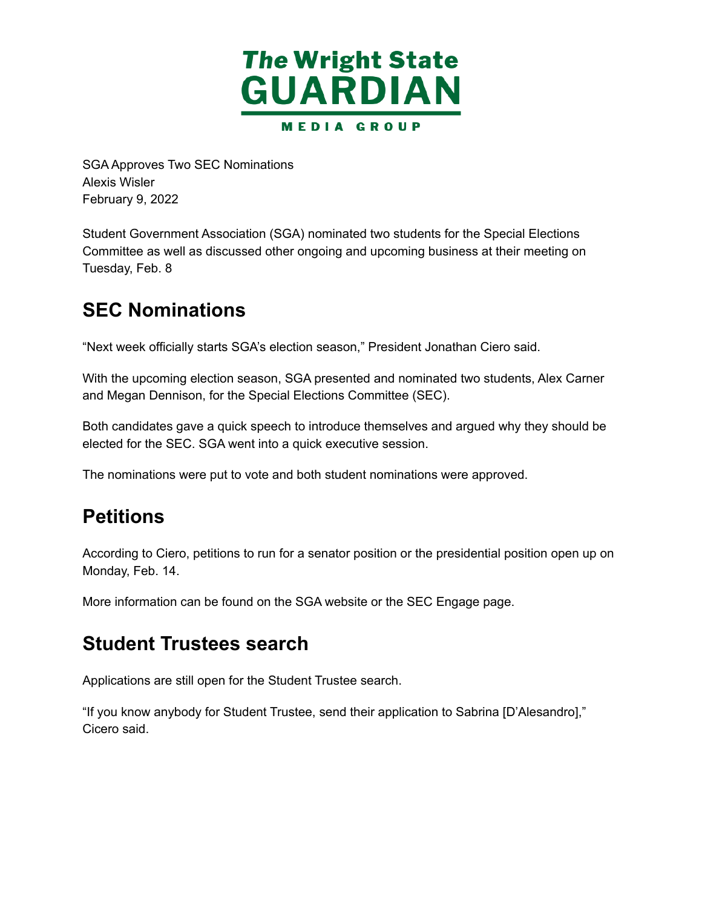

 SGA Approves Two SEC Nominations February 9, 2022 Alexis Wisler

 Student Government Association (SGA) nominated two students for the Special Elections Committee as well as discussed other ongoing and upcoming business at their meeting on Tuesday, Feb. 8

### **SEC Nominations**

"Next week officially starts SGA's election season," President Jonathan Ciero said.

 With the upcoming election season, SGA presented and nominated two students, Alex Carner and Megan Dennison, for the Special Elections Committee (SEC).

 Both candidates gave a quick speech to introduce themselves and argued why they should be elected for the SEC. SGA went into a quick executive session.

The nominations were put to vote and both student nominations were approved.

### **Petitions**

 According to Ciero, petitions to run for a senator position or the presidential position open up on Monday, Feb. 14.

More information can be found on the SGA website or the SEC Engage page.

#### **Student Trustees search**

Applications are still open for the Student Trustee search.

 "If you know anybody for Student Trustee, send their application to Sabrina [D'Alesandro]," Cicero said.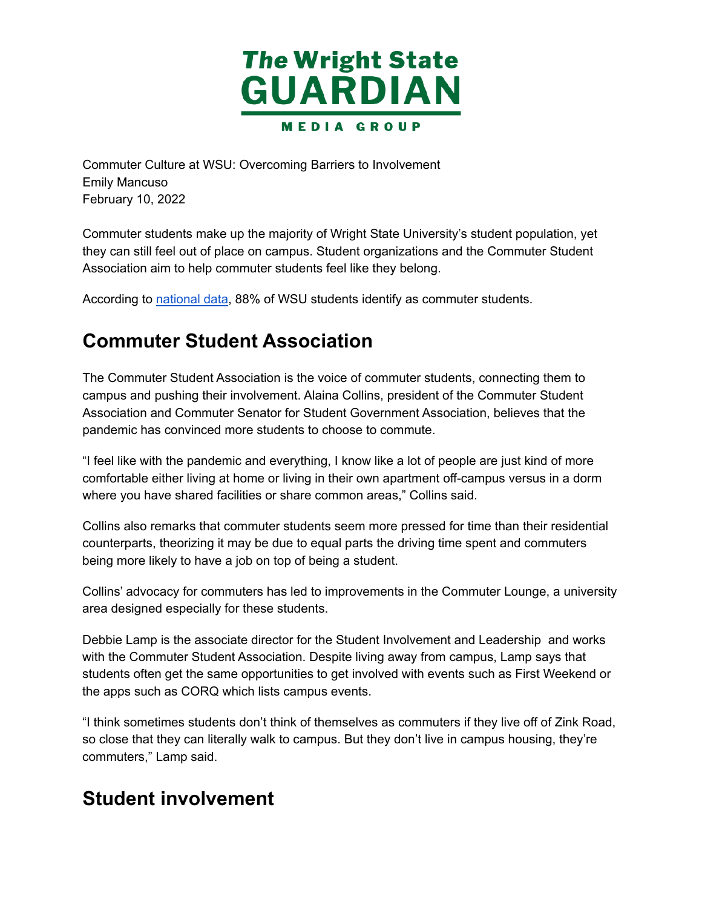

 Commuter Culture at WSU: Overcoming Barriers to Involvement February 10, 2022 Emily Mancuso

 Commuter students make up the majority of Wright State University's student population, yet they can still feel out of place on campus. Student organizations and the Commuter Student Association aim to help commuter students feel like they belong.

According to [national](https://www.usnews.com/best-colleges/wright-state-9168/student-life) data, 88% of WSU students identify as commuter students.

## **Commuter Student Association**

 The Commuter Student Association is the voice of commuter students, connecting them to campus and pushing their involvement. Alaina Collins, president of the Commuter Student Association and Commuter Senator for Student Government Association, believes that the pandemic has convinced more students to choose to commute.

 "I feel like with the pandemic and everything, I know like a lot of people are just kind of more comfortable either living at home or living in their own apartment off-campus versus in a dorm where you have shared facilities or share common areas," Collins said.

 Collins also remarks that commuter students seem more pressed for time than their residential counterparts, theorizing it may be due to equal parts the driving time spent and commuters being more likely to have a job on top of being a student.

 Collins' advocacy for commuters has led to improvements in the Commuter Lounge, a university area designed especially for these students.

 Debbie Lamp is the associate director for the Student Involvement and Leadership and works with the Commuter Student Association. Despite living away from campus, Lamp says that students often get the same opportunities to get involved with events such as First Weekend or the apps such as CORQ which lists campus events.

 "I think sometimes students don't think of themselves as commuters if they live off of Zink Road, so close that they can literally walk to campus. But they don't live in campus housing, they're commuters," Lamp said.

### **Student involvement**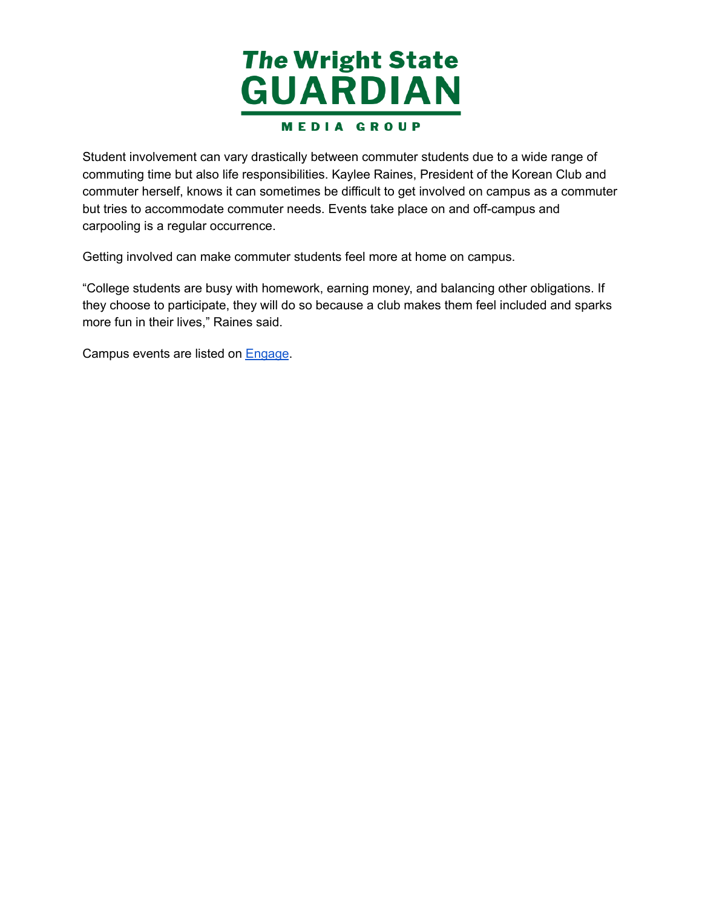

 Student involvement can vary drastically between commuter students due to a wide range of commuting time but also life responsibilities. Kaylee Raines, President of the Korean Club and commuter herself, knows it can sometimes be difficult to get involved on campus as a commuter but tries to accommodate commuter needs. Events take place on and off-campus and carpooling is a regular occurrence.

Getting involved can make commuter students feel more at home on campus.

 "College students are busy with homework, earning money, and balancing other obligations. If they choose to participate, they will do so because a club makes them feel included and sparks more fun in their lives," Raines said.

Campus events are listed on [Engage](https://wright.campuslabs.com/engage/).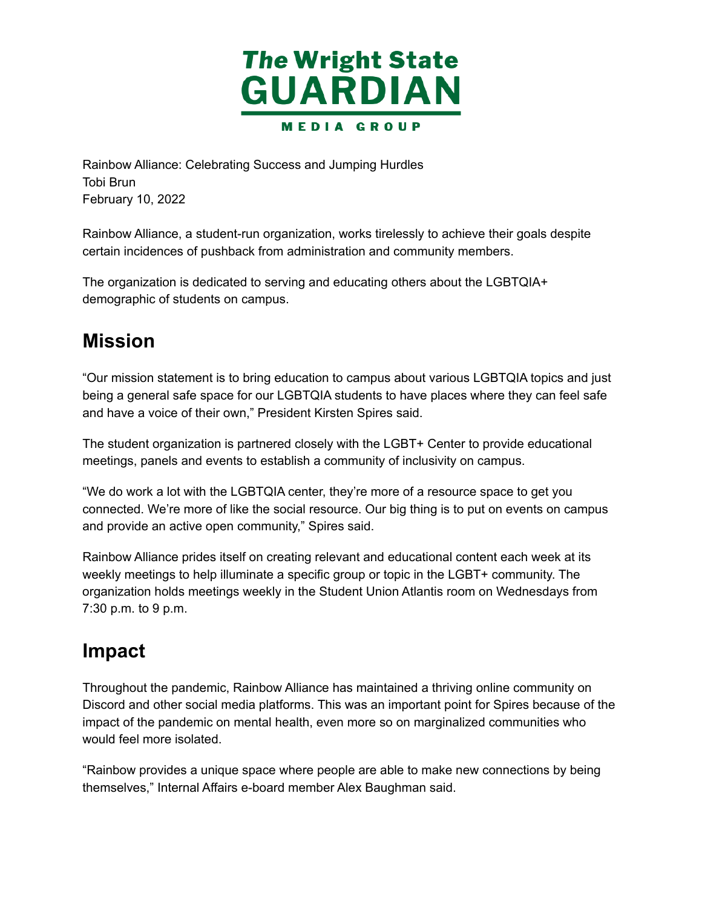

 Rainbow Alliance: Celebrating Success and Jumping Hurdles February 10, 2022 Tobi Brun

 Rainbow Alliance, a student-run organization, works tirelessly to achieve their goals despite certain incidences of pushback from administration and community members.

 The organization is dedicated to serving and educating others about the LGBTQIA+ demographic of students on campus.

## **Mission**

 "Our mission statement is to bring education to campus about various LGBTQIA topics and just being a general safe space for our LGBTQIA students to have places where they can feel safe and have a voice of their own," President Kirsten Spires said.

 The student organization is partnered closely with the LGBT+ Center to provide educational meetings, panels and events to establish a community of inclusivity on campus.

 "We do work a lot with the LGBTQIA center, they're more of a resource space to get you connected. We're more of like the social resource. Our big thing is to put on events on campus and provide an active open community," Spires said.

Rainbow Alliance prides itself on creating relevant and educational content each week at its weekly meetings to help illuminate a specific group or topic in the LGBT+ community. The organization holds meetings weekly in the Student Union Atlantis room on Wednesdays from 7:30 p.m. to 9 p.m.

### **Impact**

 Throughout the pandemic, Rainbow Alliance has maintained a thriving online community on Discord and other social media platforms. This was an important point for Spires because of the impact of the pandemic on mental health, even more so on marginalized communities who would feel more isolated.

 "Rainbow provides a unique space where people are able to make new connections by being themselves," Internal Affairs e-board member Alex Baughman said.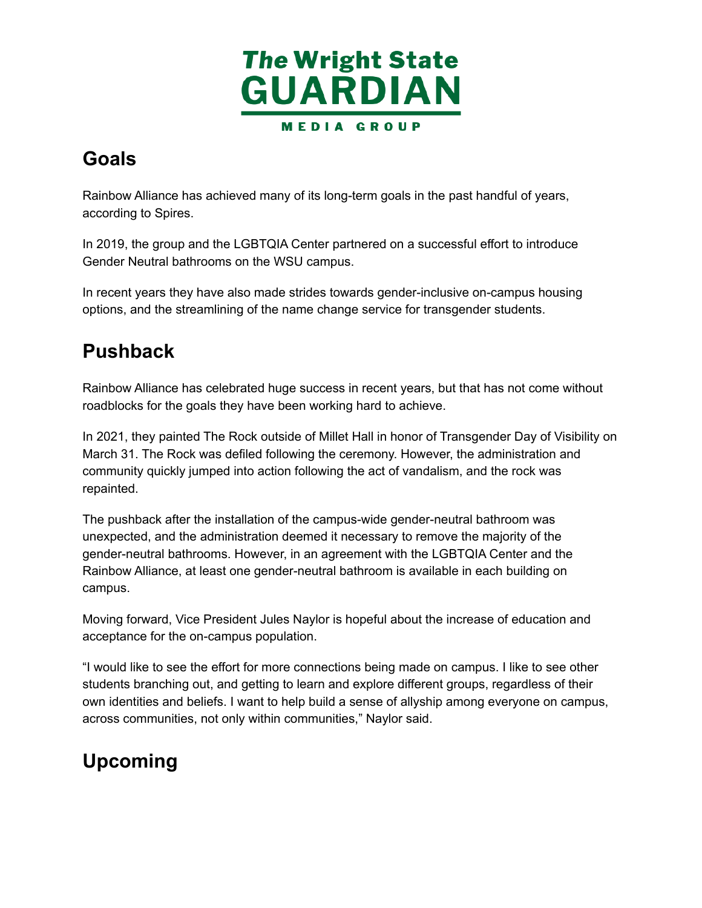

## **Goals**

 Rainbow Alliance has achieved many of its long-term goals in the past handful of years, according to Spires.

 In 2019, the group and the LGBTQIA Center partnered on a successful effort to introduce Gender Neutral bathrooms on the WSU campus.

 In recent years they have also made strides towards gender-inclusive on-campus housing options, and the streamlining of the name change service for transgender students.

### **Pushback**

 Rainbow Alliance has celebrated huge success in recent years, but that has not come without roadblocks for the goals they have been working hard to achieve.

 In 2021, they painted The Rock outside of Millet Hall in honor of Transgender Day of Visibility on March 31. The Rock was defiled following the ceremony. However, the administration and community quickly jumped into action following the act of vandalism, and the rock was repainted.

 The pushback after the installation of the campus-wide gender-neutral bathroom was unexpected, and the administration deemed it necessary to remove the majority of the gender-neutral bathrooms. However, in an agreement with the LGBTQIA Center and the Rainbow Alliance, at least one gender-neutral bathroom is available in each building on campus.

 Moving forward, Vice President Jules Naylor is hopeful about the increase of education and acceptance for the on-campus population.

 "I would like to see the effort for more connections being made on campus. I like to see other students branching out, and getting to learn and explore different groups, regardless of their own identities and beliefs. I want to help build a sense of allyship among everyone on campus, across communities, not only within communities," Naylor said.

# **Upcoming**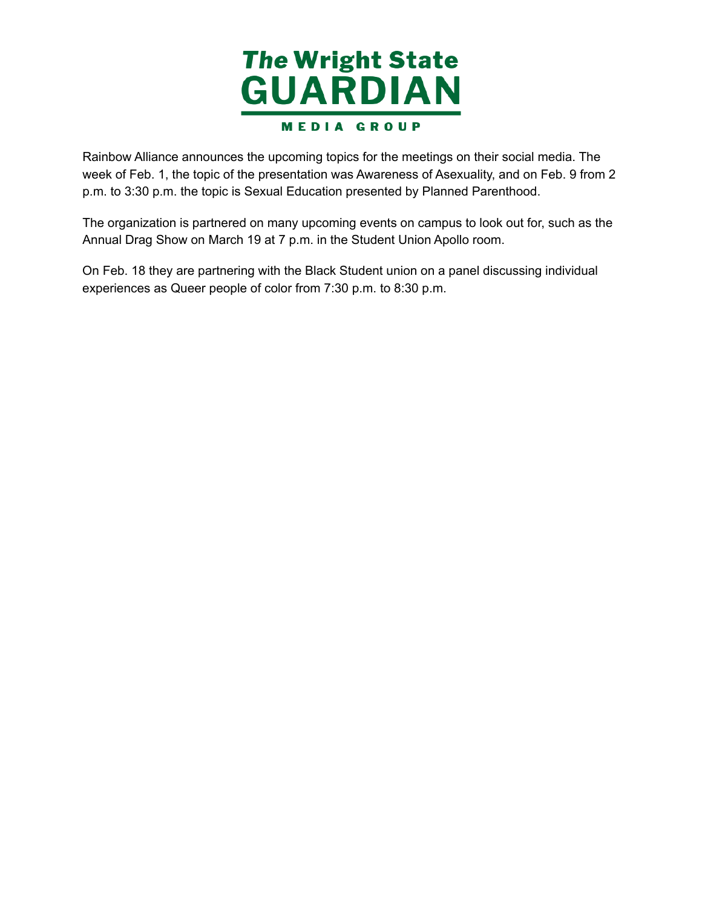

Rainbow Alliance announces the upcoming topics for the meetings on their social media. The week of Feb. 1, the topic of the presentation was Awareness of Asexuality, and on Feb. 9 from 2 p.m. to 3:30 p.m. the topic is Sexual Education presented by Planned Parenthood.

 The organization is partnered on many upcoming events on campus to look out for, such as the Annual Drag Show on March 19 at 7 p.m. in the Student Union Apollo room.

 On Feb. 18 they are partnering with the Black Student union on a panel discussing individual experiences as Queer people of color from 7:30 p.m. to 8:30 p.m.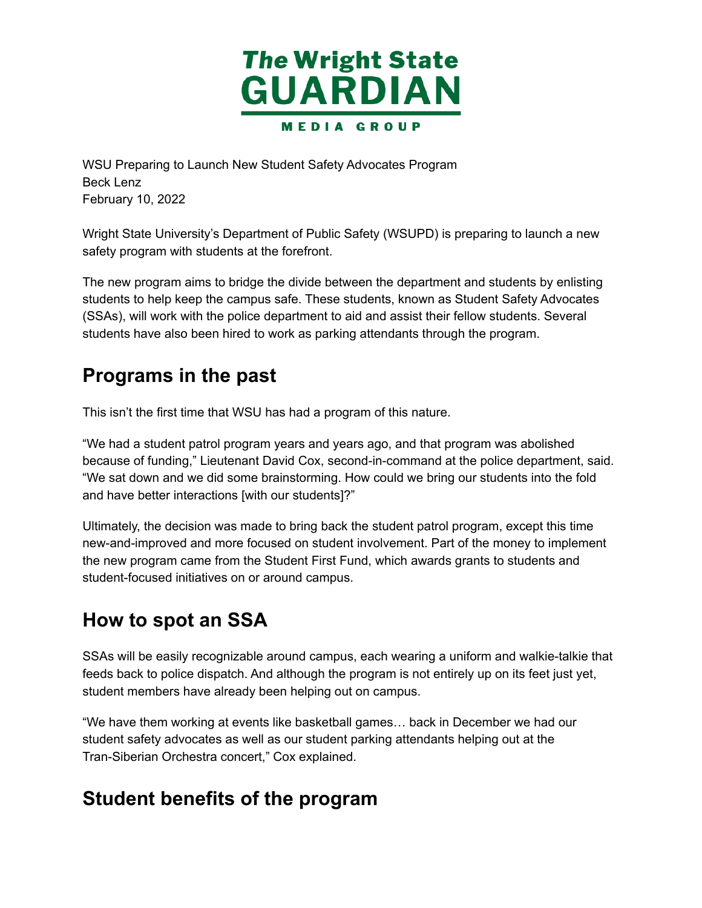

 WSU Preparing to Launch New Student Safety Advocates Program February 10, 2022 Beck Lenz

 Wright State University's Department of Public Safety (WSUPD) is preparing to launch a new safety program with students at the forefront.

 The new program aims to bridge the divide between the department and students by enlisting students to help keep the campus safe. These students, known as Student Safety Advocates (SSAs), will work with the police department to aid and assist their fellow students. Several students have also been hired to work as parking attendants through the program.

#### **Programs in the past**

This isn't the first time that WSU has had a program of this nature.

 "We had a student patrol program years and years ago, and that program was abolished because of funding," Lieutenant David Cox, second-in-command at the police department, said. "We sat down and we did some brainstorming. How could we bring our students into the fold and have better interactions [with our students]?"

 Ultimately, the decision was made to bring back the student patrol program, except this time new-and-improved and more focused on student involvement. Part of the money to implement the new program came from the Student First Fund, which awards grants to students and student-focused initiatives on or around campus.

### **How to spot an SSA**

 SSAs will be easily recognizable around campus, each wearing a uniform and walkie-talkie that feeds back to police dispatch. And although the program is not entirely up on its feet just yet, student members have already been helping out on campus.

 "We have them working at events like basketball games… back in December we had our student safety advocates as well as our student parking attendants helping out at the Tran-Siberian Orchestra concert," Cox explained.

#### **Student benefits of the program**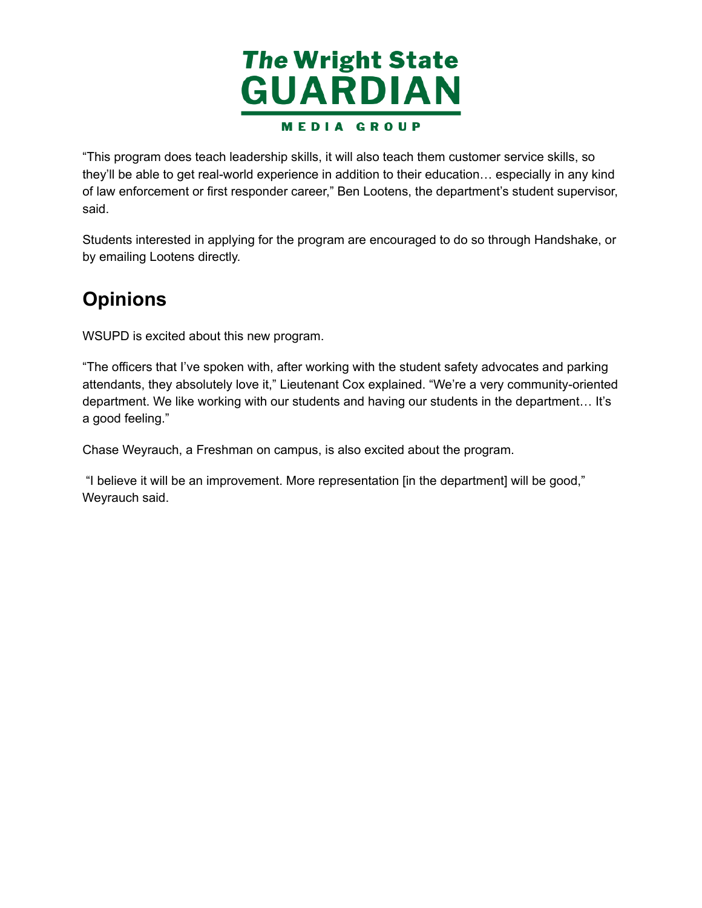

 "This program does teach leadership skills, it will also teach them customer service skills, so they'll be able to get real-world experience in addition to their education… especially in any kind of law enforcement or first responder career," Ben Lootens, the department's student supervisor, said.

 Students interested in applying for the program are encouraged to do so through Handshake, or by emailing Lootens directly.

## **Opinions**

WSUPD is excited about this new program.

 "The officers that I've spoken with, after working with the student safety advocates and parking attendants, they absolutely love it," Lieutenant Cox explained. "We're a very community-oriented department. We like working with our students and having our students in the department… It's a good feeling."

Chase Weyrauch, a Freshman on campus, is also excited about the program.

 "I believe it will be an improvement. More representation [in the department] will be good," Weyrauch said.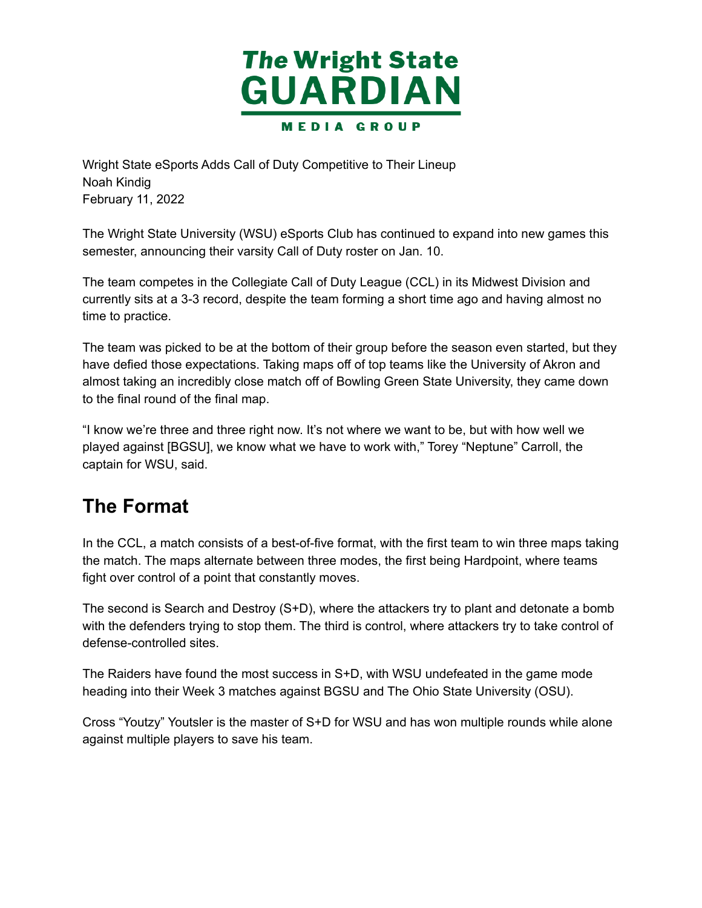

 Wright State eSports Adds Call of Duty Competitive to Their Lineup February 11, 2022 Noah Kindig

 The Wright State University (WSU) eSports Club has continued to expand into new games this semester, announcing their varsity Call of Duty roster on Jan. 10.

 The team competes in the Collegiate Call of Duty League (CCL) in its Midwest Division and currently sits at a 3-3 record, despite the team forming a short time ago and having almost no time to practice.

 The team was picked to be at the bottom of their group before the season even started, but they have defied those expectations. Taking maps off of top teams like the University of Akron and almost taking an incredibly close match off of Bowling Green State University, they came down to the final round of the final map.

 "I know we're three and three right now. It's not where we want to be, but with how well we played against [BGSU], we know what we have to work with," Torey "Neptune" Carroll, the captain for WSU, said.

### **The Format**

 In the CCL, a match consists of a best-of-five format, with the first team to win three maps taking the match. The maps alternate between three modes, the first being Hardpoint, where teams fight over control of a point that constantly moves.

 The second is Search and Destroy (S+D), where the attackers try to plant and detonate a bomb with the defenders trying to stop them. The third is control, where attackers try to take control of defense-controlled sites.

 The Raiders have found the most success in S+D, with WSU undefeated in the game mode heading into their Week 3 matches against BGSU and The Ohio State University (OSU).

 Cross "Youtzy" Youtsler is the master of S+D for WSU and has won multiple rounds while alone against multiple players to save his team.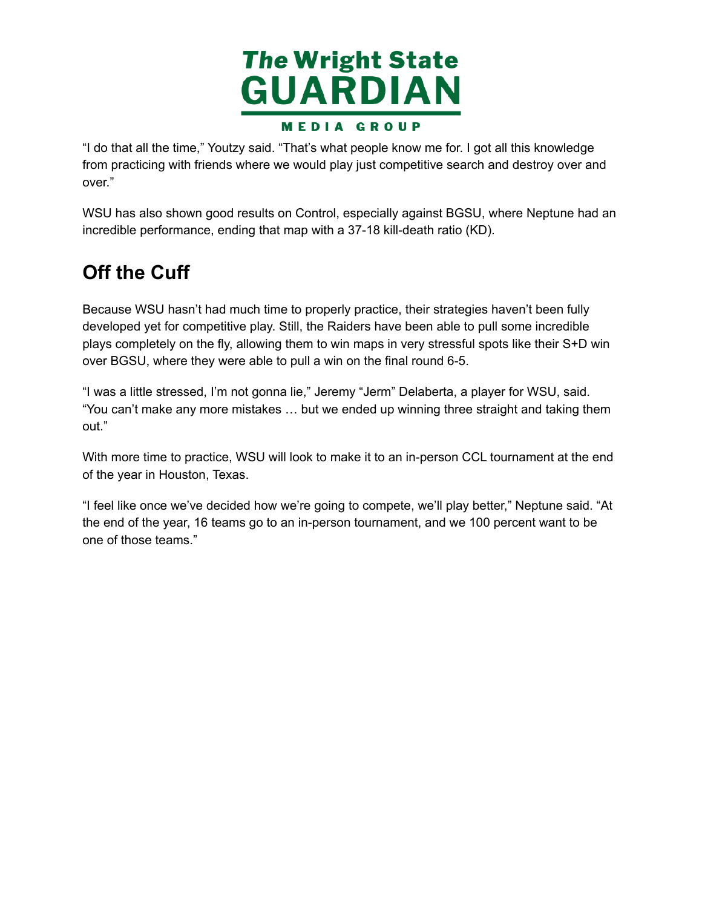

 "I do that all the time," Youtzy said. "That's what people know me for. I got all this knowledge from practicing with friends where we would play just competitive search and destroy over and over."

 WSU has also shown good results on Control, especially against BGSU, where Neptune had an incredible performance, ending that map with a 37-18 kill-death ratio (KD).

## **Off the Cuff**

 Because WSU hasn't had much time to properly practice, their strategies haven't been fully developed yet for competitive play. Still, the Raiders have been able to pull some incredible plays completely on the fly, allowing them to win maps in very stressful spots like their S+D win over BGSU, where they were able to pull a win on the final round 6-5.

 "I was a little stressed, I'm not gonna lie," Jeremy "Jerm" Delaberta, a player for WSU, said. "You can't make any more mistakes … but we ended up winning three straight and taking them out."

 With more time to practice, WSU will look to make it to an in-person CCL tournament at the end of the year in Houston, Texas.

 "I feel like once we've decided how we're going to compete, we'll play better," Neptune said. "At the end of the year, 16 teams go to an in-person tournament, and we 100 percent want to be one of those teams."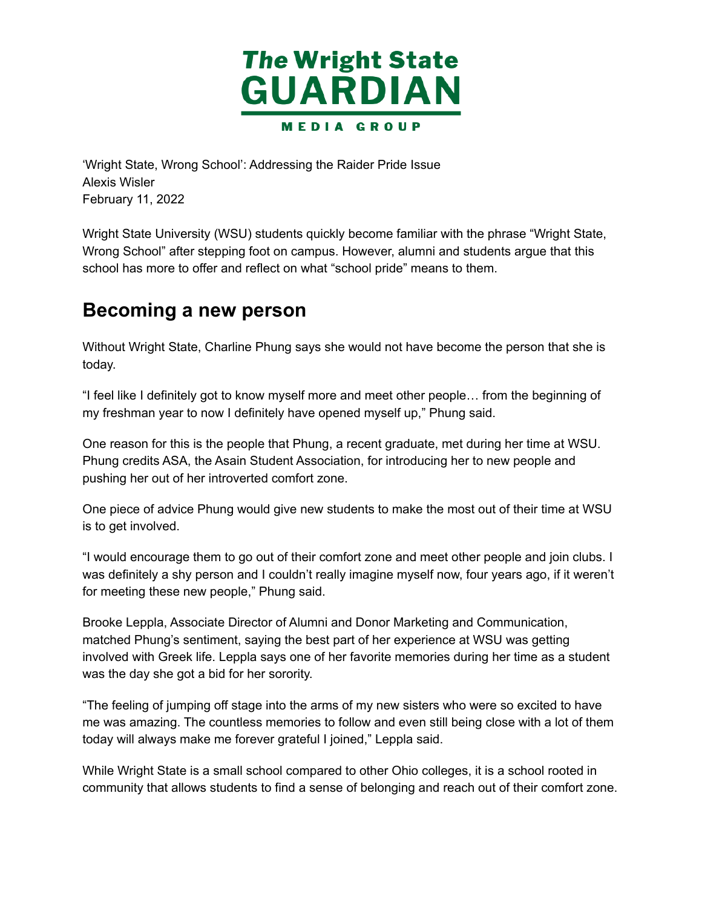

 'Wright State, Wrong School': Addressing the Raider Pride Issue February 11, 2022 Alexis Wisler

 Wright State University (WSU) students quickly become familiar with the phrase "Wright State, Wrong School" after stepping foot on campus. However, alumni and students argue that this school has more to offer and reflect on what "school pride" means to them.

#### **Becoming a new person**

 Without Wright State, Charline Phung says she would not have become the person that she is today.

 "I feel like I definitely got to know myself more and meet other people… from the beginning of my freshman year to now I definitely have opened myself up," Phung said.

 One reason for this is the people that Phung, a recent graduate, met during her time at WSU. Phung credits ASA, the Asain Student Association, for introducing her to new people and pushing her out of her introverted comfort zone.

 One piece of advice Phung would give new students to make the most out of their time at WSU is to get involved.

 "I would encourage them to go out of their comfort zone and meet other people and join clubs. I was definitely a shy person and I couldn't really imagine myself now, four years ago, if it weren't for meeting these new people," Phung said.

 Brooke Leppla, Associate Director of Alumni and Donor Marketing and Communication, matched Phung's sentiment, saying the best part of her experience at WSU was getting involved with Greek life. Leppla says one of her favorite memories during her time as a student was the day she got a bid for her sorority.

 "The feeling of jumping off stage into the arms of my new sisters who were so excited to have me was amazing. The countless memories to follow and even still being close with a lot of them today will always make me forever grateful I joined," Leppla said.

 While Wright State is a small school compared to other Ohio colleges, it is a school rooted in community that allows students to find a sense of belonging and reach out of their comfort zone.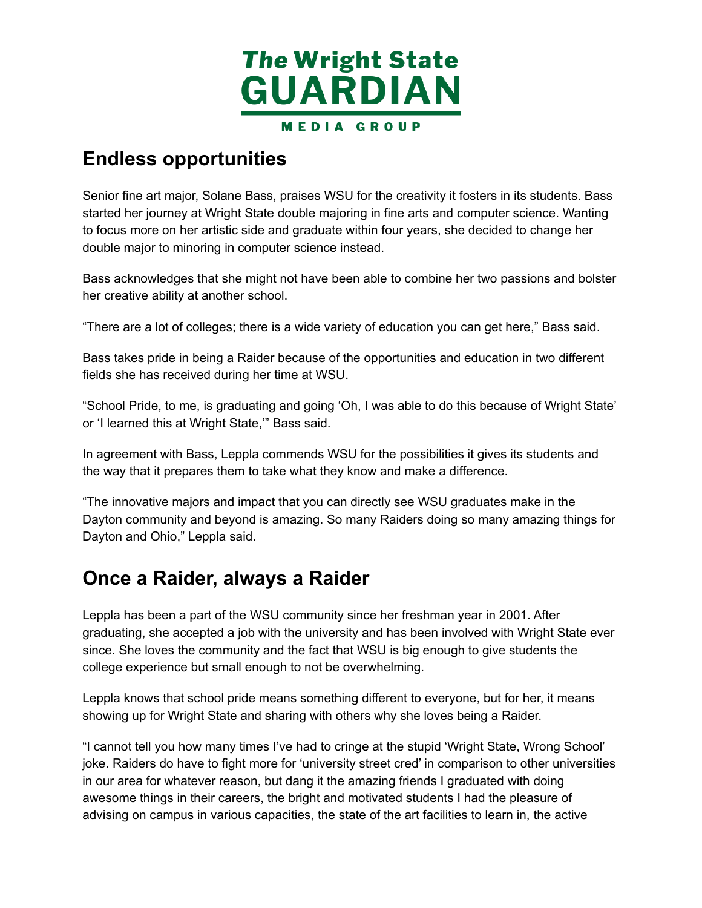

#### **Endless opportunities**

 Senior fine art major, Solane Bass, praises WSU for the creativity it fosters in its students. Bass started her journey at Wright State double majoring in fine arts and computer science. Wanting to focus more on her artistic side and graduate within four years, she decided to change her double major to minoring in computer science instead.

 Bass acknowledges that she might not have been able to combine her two passions and bolster her creative ability at another school.

"There are a lot of colleges; there is a wide variety of education you can get here," Bass said.

 Bass takes pride in being a Raider because of the opportunities and education in two different fields she has received during her time at WSU.

 "School Pride, to me, is graduating and going 'Oh, I was able to do this because of Wright State' or 'I learned this at Wright State,'" Bass said.

 In agreement with Bass, Leppla commends WSU for the possibilities it gives its students and the way that it prepares them to take what they know and make a difference.

 "The innovative majors and impact that you can directly see WSU graduates make in the Dayton community and beyond is amazing. So many Raiders doing so many amazing things for Dayton and Ohio," Leppla said.

#### **Once a Raider, always a Raider**

 Leppla has been a part of the WSU community since her freshman year in 2001. After graduating, she accepted a job with the university and has been involved with Wright State ever since. She loves the community and the fact that WSU is big enough to give students the college experience but small enough to not be overwhelming.

 Leppla knows that school pride means something different to everyone, but for her, it means showing up for Wright State and sharing with others why she loves being a Raider.

 "I cannot tell you how many times I've had to cringe at the stupid 'Wright State, Wrong School' joke. Raiders do have to fight more for 'university street cred' in comparison to other universities in our area for whatever reason, but dang it the amazing friends I graduated with doing awesome things in their careers, the bright and motivated students I had the pleasure of advising on campus in various capacities, the state of the art facilities to learn in, the active